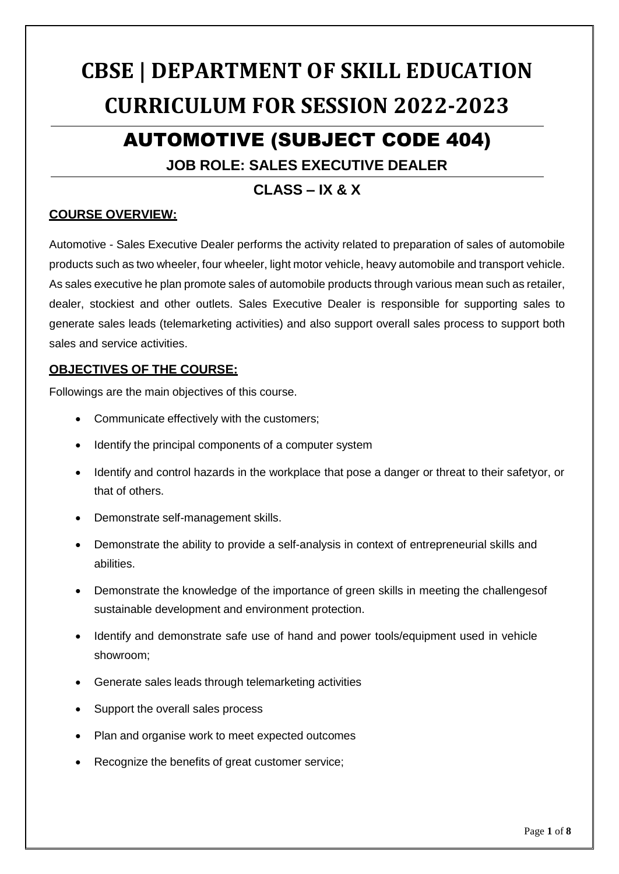# **CBSE | DEPARTMENT OF SKILL EDUCATION CURRICULUM FOR SESSION 2022-2023**

## AUTOMOTIVE (SUBJECT CODE 404)

## **JOB ROLE: SALES EXECUTIVE DEALER**

## **CLASS – IX & X**

#### **COURSE OVERVIEW:**

Automotive - Sales Executive Dealer performs the activity related to preparation of sales of automobile products such as two wheeler, four wheeler, light motor vehicle, heavy automobile and transport vehicle. As sales executive he plan promote sales of automobile products through various mean such as retailer, dealer, stockiest and other outlets. Sales Executive Dealer is responsible for supporting sales to generate sales leads (telemarketing activities) and also support overall sales process to support both sales and service activities.

#### **OBJECTIVES OF THE COURSE:**

Followings are the main objectives of this course.

- Communicate effectively with the customers;
- Identify the principal components of a computer system
- Identify and control hazards in the workplace that pose a danger or threat to their safetyor, or that of others.
- Demonstrate self-management skills.
- Demonstrate the ability to provide a self-analysis in context of entrepreneurial skills and abilities.
- Demonstrate the knowledge of the importance of green skills in meeting the challengesof sustainable development and environment protection.
- Identify and demonstrate safe use of hand and power tools/equipment used in vehicle showroom;
- Generate sales leads through telemarketing activities
- Support the overall sales process
- Plan and organise work to meet expected outcomes
- Recognize the benefits of great customer service;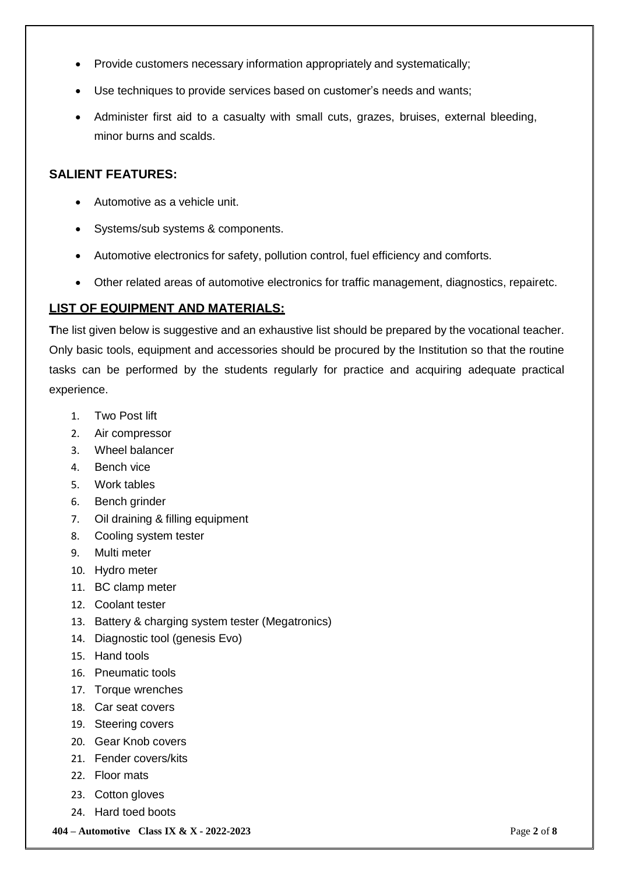- Provide customers necessary information appropriately and systematically;
- Use techniques to provide services based on customer's needs and wants;
- Administer first aid to a casualty with small cuts, grazes, bruises, external bleeding, minor burns and scalds.

#### **SALIENT FEATURES:**

- Automotive as a vehicle unit.
- Systems/sub systems & components.
- Automotive electronics for safety, pollution control, fuel efficiency and comforts.
- Other related areas of automotive electronics for traffic management, diagnostics, repairetc.

#### **LIST OF EQUIPMENT AND MATERIALS:**

The list given below is suggestive and an exhaustive list should be prepared by the vocational teacher. Only basic tools, equipment and accessories should be procured by the Institution so that the routine tasks can be performed by the students regularly for practice and acquiring adequate practical experience.

- 1. Two Post lift
- 2. Air compressor
- 3. Wheel balancer
- 4. Bench vice
- 5. Work tables
- 6. Bench grinder
- 7. Oil draining & filling equipment
- 8. Cooling system tester
- 9. Multi meter
- 10. Hydro meter
- 11. BC clamp meter
- 12. Coolant tester
- 13. Battery & charging system tester (Megatronics)
- 14. Diagnostic tool (genesis Evo)
- 15. Hand tools
- 16. Pneumatic tools
- 17. Torque wrenches
- 18. Car seat covers
- 19. Steering covers
- 20. Gear Knob covers
- 21. Fender covers/kits
- 22. Floor mats
- 23. Cotton gloves
- 24. Hard toed boots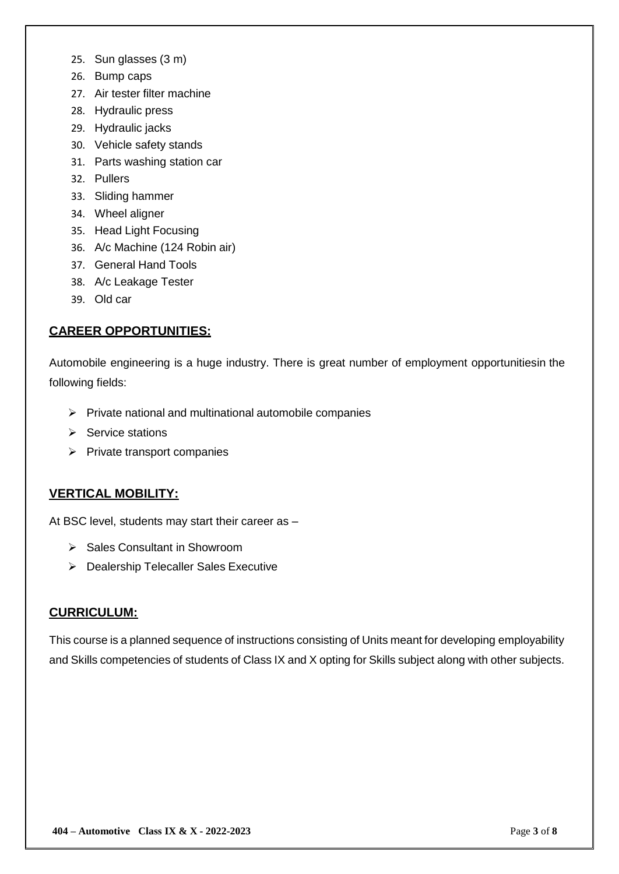- 25. Sun glasses (3 m)
- 26. Bump caps
- 27. Air tester filter machine
- 28. Hydraulic press
- 29. Hydraulic jacks
- 30. Vehicle safety stands
- 31. Parts washing station car
- 32. Pullers
- 33. Sliding hammer
- 34. Wheel aligner
- 35. Head Light Focusing
- 36. A/c Machine (124 Robin air)
- 37. General Hand Tools
- 38. A/c Leakage Tester
- 39. Old car

#### **CAREER OPPORTUNITIES:**

Automobile engineering is a huge industry. There is great number of employment opportunitiesin the following fields:

- $\triangleright$  Private national and multinational automobile companies
- $\triangleright$  Service stations
- $\triangleright$  Private transport companies

#### **VERTICAL MOBILITY:**

At BSC level, students may start their career as –

- ▶ Sales Consultant in Showroom
- ▶ Dealership Telecaller Sales Executive

#### **CURRICULUM:**

This course is a planned sequence of instructions consisting of Units meant for developing employability and Skills competencies of students of Class IX and X opting for Skills subject along with other subjects.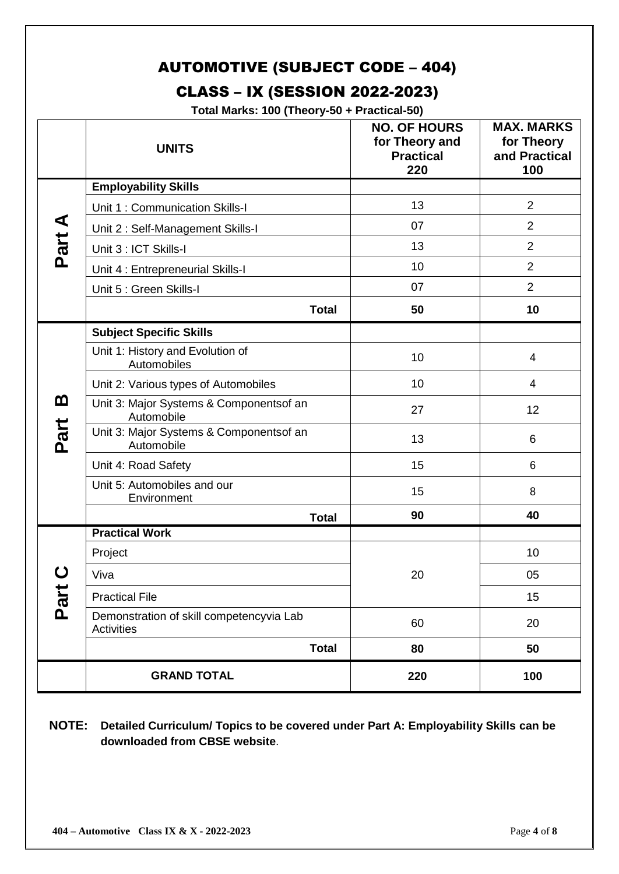## AUTOMOTIVE (SUBJECT CODE – 404)

## CLASS – IX (SESSION 2022-2023)

**Total Marks: 100 (Theory-50 + Practical-50)**

|        | <b>UNITS</b>                                                  | <b>NO. OF HOURS</b><br>for Theory and<br><b>Practical</b><br>220 | <b>MAX. MARKS</b><br>for Theory<br>and Practical<br>100 |
|--------|---------------------------------------------------------------|------------------------------------------------------------------|---------------------------------------------------------|
|        | <b>Employability Skills</b>                                   |                                                                  |                                                         |
|        | Unit 1: Communication Skills-I                                | 13                                                               | $\overline{2}$                                          |
|        | Unit 2: Self-Management Skills-I                              | 07                                                               | $\overline{2}$                                          |
| Part A | Unit 3 : ICT Skills-I                                         | 13                                                               | $\overline{2}$                                          |
|        | Unit 4 : Entrepreneurial Skills-I                             | 10                                                               | $\overline{2}$                                          |
|        | Unit 5 : Green Skills-I                                       | 07                                                               | 2                                                       |
|        | <b>Total</b>                                                  | 50                                                               | 10                                                      |
|        | <b>Subject Specific Skills</b>                                |                                                                  |                                                         |
|        | Unit 1: History and Evolution of<br>Automobiles               | 10                                                               | 4                                                       |
|        | Unit 2: Various types of Automobiles                          | 10                                                               | 4                                                       |
| മ      | Unit 3: Major Systems & Componentsof an<br>Automobile         | 27                                                               | 12                                                      |
| Part   | Unit 3: Major Systems & Componentsof an<br>Automobile         | 13                                                               | 6                                                       |
|        | Unit 4: Road Safety                                           | 15                                                               | 6                                                       |
|        | Unit 5: Automobiles and our<br>Environment                    | 15                                                               | 8                                                       |
|        | <b>Total</b>                                                  | 90                                                               | 40                                                      |
| Part   | <b>Practical Work</b>                                         |                                                                  |                                                         |
|        | Project                                                       |                                                                  | 10                                                      |
|        | Viva                                                          | 20                                                               | 05                                                      |
|        | <b>Practical File</b>                                         |                                                                  | 15                                                      |
|        | Demonstration of skill competencyvia Lab<br><b>Activities</b> | 60                                                               | 20                                                      |
|        | <b>Total</b>                                                  | 80                                                               | 50                                                      |
|        | <b>GRAND TOTAL</b>                                            | 220                                                              | 100                                                     |

#### **NOTE: Detailed Curriculum/ Topics to be covered under Part A: Employability Skills can be downloaded from CBSE website**.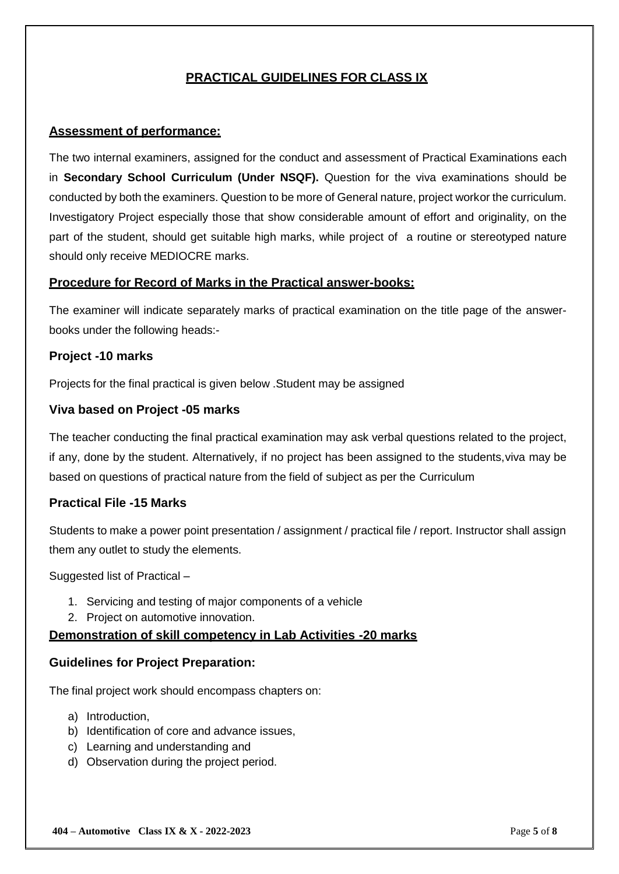### **PRACTICAL GUIDELINES FOR CLASS IX**

#### **Assessment of performance:**

The two internal examiners, assigned for the conduct and assessment of Practical Examinations each in **Secondary School Curriculum (Under NSQF).** Question for the viva examinations should be conducted by both the examiners. Question to be more of General nature, project workor the curriculum. Investigatory Project especially those that show considerable amount of effort and originality, on the part of the student, should get suitable high marks, while project of a routine or stereotyped nature should only receive MEDIOCRE marks.

#### **Procedure for Record of Marks in the Practical answer-books:**

The examiner will indicate separately marks of practical examination on the title page of the answerbooks under the following heads:-

#### **Project -10 marks**

Projects for the final practical is given below .Student may be assigned

#### **Viva based on Project -05 marks**

The teacher conducting the final practical examination may ask verbal questions related to the project, if any, done by the student. Alternatively, if no project has been assigned to the students,viva may be based on questions of practical nature from the field of subject as per the Curriculum

#### **Practical File -15 Marks**

Students to make a power point presentation / assignment / practical file / report. Instructor shall assign them any outlet to study the elements.

Suggested list of Practical –

- 1. Servicing and testing of major components of a vehicle
- 2. Project on automotive innovation.

#### **Demonstration of skill competency in Lab Activities -20 marks**

#### **Guidelines for Project Preparation:**

The final project work should encompass chapters on:

- a) Introduction,
- b) Identification of core and advance issues,
- c) Learning and understanding and
- d) Observation during the project period.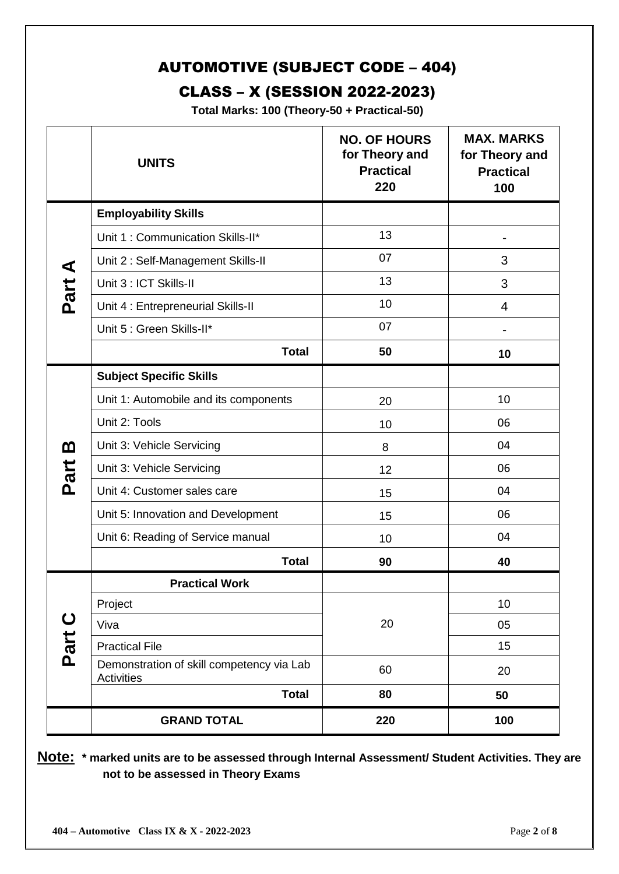## AUTOMOTIVE (SUBJECT CODE – 404)

## CLASS – X (SESSION 2022-2023)

**Total Marks: 100 (Theory-50 + Practical-50)**

|                     | <b>UNITS</b>                                            | <b>NO. OF HOURS</b><br>for Theory and<br><b>Practical</b><br>220 | <b>MAX. MARKS</b><br>for Theory and<br><b>Practical</b><br>100 |
|---------------------|---------------------------------------------------------|------------------------------------------------------------------|----------------------------------------------------------------|
|                     | <b>Employability Skills</b>                             |                                                                  |                                                                |
| Part A              | Unit 1: Communication Skills-II*                        | 13                                                               |                                                                |
|                     | Unit 2: Self-Management Skills-II                       | 07                                                               | 3                                                              |
|                     | Unit 3 : ICT Skills-II                                  | 13                                                               | 3                                                              |
|                     | Unit 4 : Entrepreneurial Skills-II                      | 10                                                               | $\overline{4}$                                                 |
|                     | Unit 5 : Green Skills-II*                               | 07                                                               |                                                                |
|                     | <b>Total</b>                                            | 50                                                               | 10                                                             |
|                     | <b>Subject Specific Skills</b>                          |                                                                  |                                                                |
| മ<br>Part           | Unit 1: Automobile and its components                   | 20                                                               | 10                                                             |
|                     | Unit 2: Tools                                           | 10                                                               | 06                                                             |
|                     | Unit 3: Vehicle Servicing                               | 8                                                                | 04                                                             |
|                     | Unit 3: Vehicle Servicing                               | 12                                                               | 06                                                             |
|                     | Unit 4: Customer sales care                             | 15                                                               | 04                                                             |
|                     | Unit 5: Innovation and Development                      | 15                                                               | 06                                                             |
|                     | Unit 6: Reading of Service manual                       | 10                                                               | 04                                                             |
|                     | <b>Total</b>                                            | 90                                                               | 40                                                             |
| $\mathbf C$<br>Part | <b>Practical Work</b>                                   |                                                                  |                                                                |
|                     | Project                                                 |                                                                  | 10                                                             |
|                     | Viva                                                    | 20                                                               | 05                                                             |
|                     | <b>Practical File</b>                                   |                                                                  | 15                                                             |
|                     | Demonstration of skill competency via Lab<br>Activities | 60                                                               | 20                                                             |
|                     | <b>Total</b>                                            | 80                                                               | 50                                                             |
|                     | <b>GRAND TOTAL</b>                                      | 220                                                              | 100                                                            |

**Note: \* marked units are to be assessed through Internal Assessment/ Student Activities. They are not to be assessed in Theory Exams**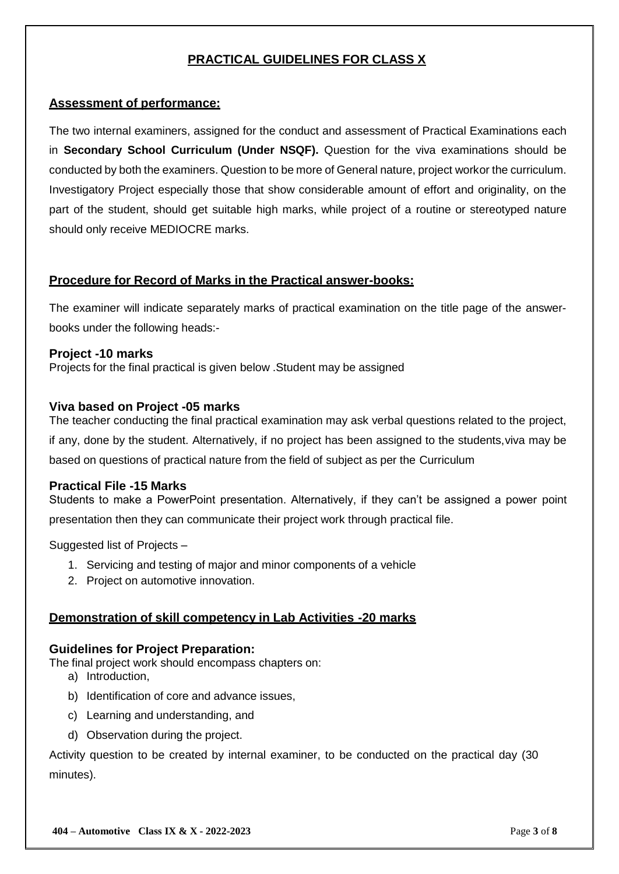#### **PRACTICAL GUIDELINES FOR CLASS X**

#### **Assessment of performance:**

The two internal examiners, assigned for the conduct and assessment of Practical Examinations each in **Secondary School Curriculum (Under NSQF).** Question for the viva examinations should be conducted by both the examiners. Question to be more of General nature, project workor the curriculum. Investigatory Project especially those that show considerable amount of effort and originality, on the part of the student, should get suitable high marks, while project of a routine or stereotyped nature should only receive MEDIOCRE marks.

#### **Procedure for Record of Marks in the Practical answer-books:**

The examiner will indicate separately marks of practical examination on the title page of the answerbooks under the following heads:-

#### **Project -10 marks**

Projects for the final practical is given below .Student may be assigned

#### **Viva based on Project -05 marks**

The teacher conducting the final practical examination may ask verbal questions related to the project, if any, done by the student. Alternatively, if no project has been assigned to the students,viva may be based on questions of practical nature from the field of subject as per the Curriculum

#### **Practical File -15 Marks**

Students to make a PowerPoint presentation. Alternatively, if they can't be assigned a power point presentation then they can communicate their project work through practical file.

Suggested list of Projects –

- 1. Servicing and testing of major and minor components of a vehicle
- 2. Project on automotive innovation.

#### **Demonstration of skill competency in Lab Activities -20 marks**

#### **Guidelines for Project Preparation:**

The final project work should encompass chapters on:

- a) Introduction,
- b) Identification of core and advance issues,
- c) Learning and understanding, and
- d) Observation during the project.

Activity question to be created by internal examiner, to be conducted on the practical day (30 minutes).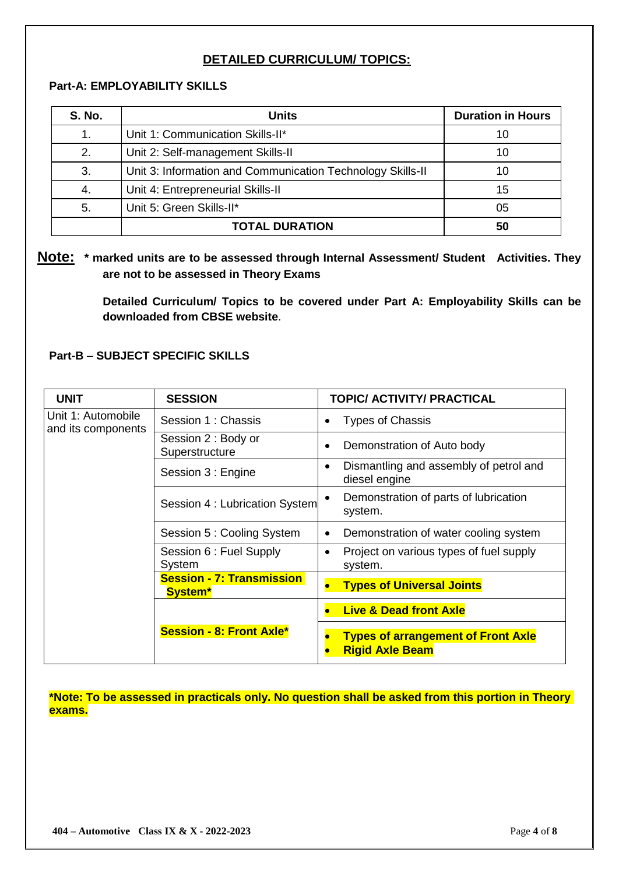#### **DETAILED CURRICULUM/ TOPICS:**

#### **Part-A: EMPLOYABILITY SKILLS**

| <b>S. No.</b> | <b>Units</b>                                               | <b>Duration in Hours</b> |
|---------------|------------------------------------------------------------|--------------------------|
| 1.            | Unit 1: Communication Skills-II*                           | 10                       |
| 2.            | Unit 2: Self-management Skills-II                          | 10                       |
| 3.            | Unit 3: Information and Communication Technology Skills-II | 10                       |
| 4.            | Unit 4: Entrepreneurial Skills-II                          | 15                       |
| 5.            | Unit 5: Green Skills-II*                                   | 05                       |
|               | <b>TOTAL DURATION</b>                                      | 50                       |

**Note: \* marked units are to be assessed through Internal Assessment/ Student Activities. They are not to be assessed in Theory Exams** 

> **Detailed Curriculum/ Topics to be covered under Part A: Employability Skills can be downloaded from CBSE website**.

#### **Part-B – SUBJECT SPECIFIC SKILLS**

| <b>UNIT</b>                              | <b>SESSION</b>                                     | <b>TOPIC/ ACTIVITY/ PRACTICAL</b>                                    |
|------------------------------------------|----------------------------------------------------|----------------------------------------------------------------------|
| Unit 1: Automobile<br>and its components | Session 1 : Chassis                                | <b>Types of Chassis</b><br>٠                                         |
|                                          | Session 2 : Body or<br>Superstructure              | Demonstration of Auto body<br>$\bullet$                              |
|                                          | Session 3 : Engine                                 | Dismantling and assembly of petrol and<br>$\bullet$<br>diesel engine |
|                                          | Session 4 : Lubrication System                     | Demonstration of parts of lubrication<br>system.                     |
|                                          | Session 5: Cooling System                          | Demonstration of water cooling system<br>$\bullet$                   |
|                                          | Session 6 : Fuel Supply<br>System                  | Project on various types of fuel supply<br>$\bullet$<br>system.      |
|                                          | <b>Session - 7: Transmission</b><br><b>System*</b> | <b>Types of Universal Joints</b>                                     |
|                                          |                                                    | <b>Live &amp; Dead front Axle</b>                                    |
|                                          | <b>Session - 8: Front Axle*</b>                    | <b>Types of arrangement of Front Axle</b><br><b>Rigid Axle Beam</b>  |

**\*Note: To be assessed in practicals only. No question shall be asked from this portion in Theory exams.**